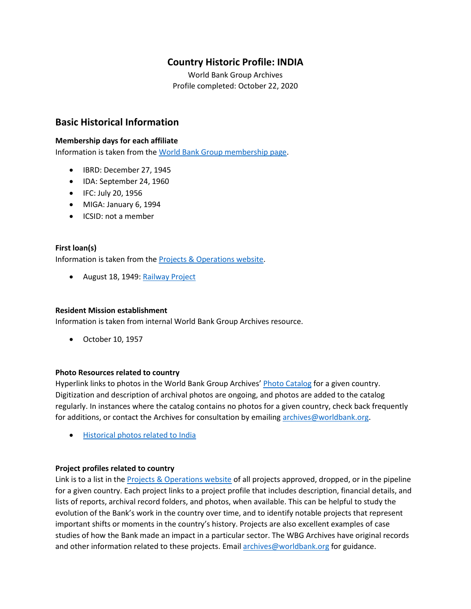## **Country Historic Profile: INDIA**

World Bank Group Archives Profile completed: October 22, 2020

## **Basic Historical Information**

#### **Membership days for each affiliate**

Information is taken from the [World Bank Group membership page.](https://www.worldbank.org/en/about/leadership/members#1)

- IBRD: December 27, 1945
- IDA: September 24, 1960
- IFC: July 20, 1956
- MIGA: January 6, 1994
- ICSID: not a member

## **First loan(s)**

Information is taken from the [Projects & Operations website.](https://projects.worldbank.org/)

• August 18, 1949: [Railway Project](https://projects.worldbank.org/en/projects-operations/project-detail/P009588)

#### **Resident Mission establishment**

Information is taken from internal World Bank Group Archives resource.

• October 10, 1957

#### **Photo Resources related to country**

Hyperlink links to photos in the World Bank Group Archives' [Photo Catalog](https://archivesphotos.worldbank.org/en/about/archives/photo-gallery) for a given country. Digitization and description of archival photos are ongoing, and photos are added to the catalog regularly. In instances where the catalog contains no photos for a given country, check back frequently for additions, or contact the Archives for consultation by emailing [archives@worldbank.org.](mailto:archives@worldbank.org)

• [Historical photos related to India](https://archivesphotos.worldbank.org/en/about/archives/photo-gallery/photo-gallery-landing?qterm=India&x=0&y=0)

#### **Project profiles related to country**

Link is to a list in the [Projects & Operations website](https://projects.worldbank.org/) of all projects approved, dropped, or in the pipeline for a given country. Each project links to a project profile that includes description, financial details, and lists of reports, archival record folders, and photos, when available. This can be helpful to study the evolution of the Bank's work in the country over time, and to identify notable projects that represent important shifts or moments in the country's history. Projects are also excellent examples of case studies of how the Bank made an impact in a particular sector. The WBG Archives have original records and other information related to these projects. Email [archives@worldbank.org](mailto:archives@worldbank.org) for guidance.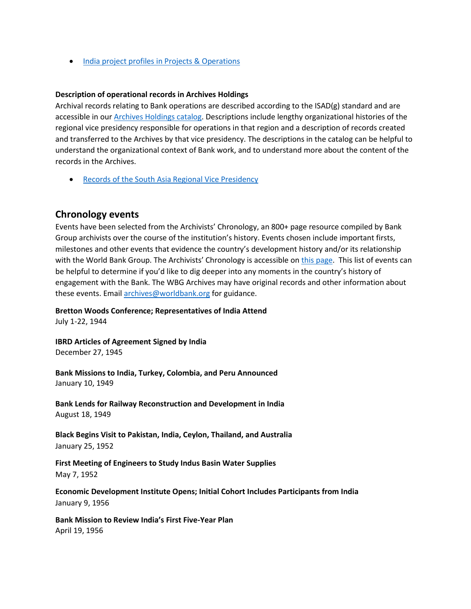• India [project profiles in Projects & Operations](https://projects.worldbank.org/en/projects-operations/projects-summary?countrycode_exact=IN)

#### **Description of operational records in Archives Holdings**

Archival records relating to Bank operations are described according to the ISAD(g) standard and are accessible in our [Archives Holdings catalog.](https://archivesholdings.worldbank.org/) Descriptions include lengthy organizational histories of the regional vice presidency responsible for operations in that region and a description of records created and transferred to the Archives by that vice presidency. The descriptions in the catalog can be helpful to understand the organizational context of Bank work, and to understand more about the content of the records in the Archives.

• [Records of the South Asia Regional Vice Presidency](https://archivesholdings.worldbank.org/records-of-south-asia-regional-office)

#### **Chronology events**

Events have been selected from the Archivists' Chronology, an 800+ page resource compiled by Bank Group archivists over the course of the institution's history. Events chosen include important firsts, milestones and other events that evidence the country's development history and/or its relationship with the World Bank Group. The Archivists' Chronology is accessible on [this page.](https://www.worldbank.org/en/about/archives/history/timeline) This list of events can be helpful to determine if you'd like to dig deeper into any moments in the country's history of engagement with the Bank. The WBG Archives may have original records and other information about these events. Email [archives@worldbank.org](mailto:archives@worldbank.org) for guidance.

#### **Bretton Woods Conference; Representatives of India Attend**

July 1-22, 1944

**IBRD Articles of Agreement Signed by India** December 27, 1945

**Bank Missions to India, Turkey, Colombia, and Peru Announced** January 10, 1949

**Bank Lends for Railway Reconstruction and Development in India** August 18, 1949

**Black Begins Visit to Pakistan, India, Ceylon, Thailand, and Australia** January 25, 1952

**First Meeting of Engineers to Study Indus Basin Water Supplies** May 7, 1952

**Economic Development Institute Opens; Initial Cohort Includes Participants from India** January 9, 1956

**Bank Mission to Review India's First Five-Year Plan** April 19, 1956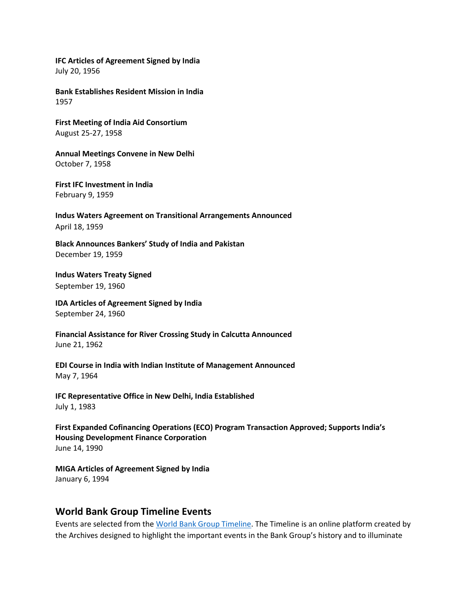**IFC Articles of Agreement Signed by India** July 20, 1956

**Bank Establishes Resident Mission in India** 1957

**First Meeting of India Aid Consortium** August 25-27, 1958

**Annual Meetings Convene in New Delhi** October 7, 1958

**First IFC Investment in India** February 9, 1959

**Indus Waters Agreement on Transitional Arrangements Announced** April 18, 1959

**Black Announces Bankers' Study of India and Pakistan** December 19, 1959

**Indus Waters Treaty Signed** September 19, 1960

**IDA Articles of Agreement Signed by India** September 24, 1960

**Financial Assistance for River Crossing Study in Calcutta Announced** June 21, 1962

**EDI Course in India with Indian Institute of Management Announced** May 7, 1964

**IFC Representative Office in New Delhi, India Established** July 1, 1983

**First Expanded Cofinancing Operations (ECO) Program Transaction Approved; Supports India's Housing Development Finance Corporation** June 14, 1990

**MIGA Articles of Agreement Signed by India** January 6, 1994

## **World Bank Group Timeline Events**

Events are selected from th[e World Bank Group Timeline.](https://timeline.worldbank.org/#event-bretton-woods-conference-begins) The Timeline is an online platform created by the Archives designed to highlight the important events in the Bank Group's history and to illuminate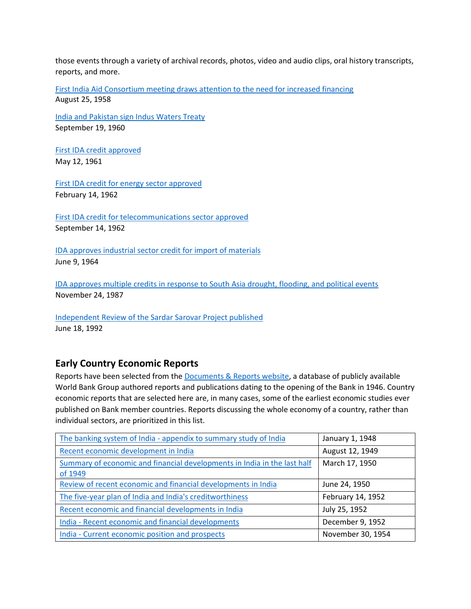those events through a variety of archival records, photos, video and audio clips, oral history transcripts, reports, and more.

[First India Aid Consortium meeting draws attention to the need for increased financing](https://timeline.worldbank.org/?field_timeline_target_id=All&combine=India#event-first-india-aid-consortium-meeting-draws-attention-to-the-need-for-increased-financing) August 25, 1958

[India and Pakistan sign Indus Waters Treaty](https://timeline.worldbank.org/?field_timeline_target_id=All&combine=India#event-india-and-pakistan-sign-indus-waters-treaty) September 19, 1960

[First IDA credit approved](https://timeline.worldbank.org/?field_timeline_target_id=All&combine=India#event-first-ida-credit-approved) May 12, 1961

[First IDA credit for energy sector approved](https://timeline.worldbank.org/?field_timeline_target_id=All&combine=India#event-first-ida-credit-for-energy-sector-approved) February 14, 1962

[First IDA credit for telecommunications sector approved](https://timeline.worldbank.org/?field_timeline_target_id=All&combine=India#event-first-ida-credit-for-telecommunications-sector-approved) September 14, 1962

[IDA approves industrial sector credit for import of materials](https://timeline.worldbank.org/?field_timeline_target_id=All&combine=India#event-ida-approves-industrial-sector-credit-for-import-of-materials) June 9, 1964

[IDA approves multiple credits in response to South Asia drought, flooding, and](https://timeline.worldbank.org/?field_timeline_target_id=All&combine=India#event-ida-approves-multiple-credits-in-response-to-south-asia-drought-flooding-and-political-events) political events November 24, 1987

[Independent Review of the Sardar Sarovar Project published](https://timeline.worldbank.org/?field_timeline_target_id=All&combine=India#event-independent-review-of-the-sardar-sarovar-project-published) June 18, 1992

# **Early Country Economic Reports**

Reports have been selected from the [Documents & Reports website,](https://documents.worldbank.org/) a database of publicly available World Bank Group authored reports and publications dating to the opening of the Bank in 1946. Country economic reports that are selected here are, in many cases, some of the earliest economic studies ever published on Bank member countries. Reports discussing the whole economy of a country, rather than individual sectors, are prioritized in this list.

| The banking system of India - appendix to summary study of India         | January 1, 1948   |
|--------------------------------------------------------------------------|-------------------|
| Recent economic development in India                                     | August 12, 1949   |
| Summary of economic and financial developments in India in the last half | March 17, 1950    |
| of 1949                                                                  |                   |
| Review of recent economic and financial developments in India            | June 24, 1950     |
| The five-year plan of India and India's creditworthiness                 | February 14, 1952 |
| Recent economic and financial developments in India                      | July 25, 1952     |
| India - Recent economic and financial developments                       | December 9, 1952  |
| India - Current economic position and prospects                          | November 30, 1954 |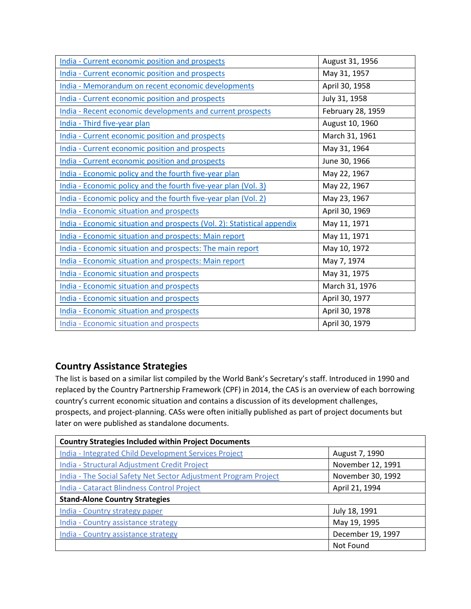| India - Current economic position and prospects                         | August 31, 1956   |
|-------------------------------------------------------------------------|-------------------|
| India - Current economic position and prospects                         | May 31, 1957      |
| India - Memorandum on recent economic developments                      | April 30, 1958    |
| India - Current economic position and prospects                         | July 31, 1958     |
| India - Recent economic developments and current prospects              | February 28, 1959 |
| India - Third five-year plan                                            | August 10, 1960   |
| India - Current economic position and prospects                         | March 31, 1961    |
| India - Current economic position and prospects                         | May 31, 1964      |
| India - Current economic position and prospects                         | June 30, 1966     |
| India - Economic policy and the fourth five-year plan                   | May 22, 1967      |
| India - Economic policy and the fourth five-year plan (Vol. 3)          | May 22, 1967      |
| India - Economic policy and the fourth five-year plan (Vol. 2)          | May 23, 1967      |
| <b>India - Economic situation and prospects</b>                         | April 30, 1969    |
| India - Economic situation and prospects (Vol. 2): Statistical appendix | May 11, 1971      |
| India - Economic situation and prospects: Main report                   | May 11, 1971      |
| India - Economic situation and prospects: The main report               | May 10, 1972      |
| India - Economic situation and prospects: Main report                   | May 7, 1974       |
| <b>India - Economic situation and prospects</b>                         | May 31, 1975      |
| <b>India - Economic situation and prospects</b>                         | March 31, 1976    |
| <b>India - Economic situation and prospects</b>                         | April 30, 1977    |
| <b>India - Economic situation and prospects</b>                         | April 30, 1978    |
| <b>India - Economic situation and prospects</b>                         | April 30, 1979    |

# **Country Assistance Strategies**

The list is based on a similar list compiled by the World Bank's Secretary's staff. Introduced in 1990 and replaced by the Country Partnership Framework (CPF) in 2014, the CAS is an overview of each borrowing country's current economic situation and contains a discussion of its development challenges, prospects, and project-planning. CASs were often initially published as part of project documents but later on were published as standalone documents.

| <b>Country Strategies Included within Project Documents</b>     |                   |  |
|-----------------------------------------------------------------|-------------------|--|
| India - Integrated Child Development Services Project           | August 7, 1990    |  |
| India - Structural Adjustment Credit Project                    | November 12, 1991 |  |
| India - The Social Safety Net Sector Adjustment Program Project | November 30, 1992 |  |
| India - Cataract Blindness Control Project                      | April 21, 1994    |  |
| <b>Stand-Alone Country Strategies</b>                           |                   |  |
| India - Country strategy paper                                  | July 18, 1991     |  |
| India - Country assistance strategy                             | May 19, 1995      |  |
| India - Country assistance strategy                             | December 19, 1997 |  |
|                                                                 | Not Found         |  |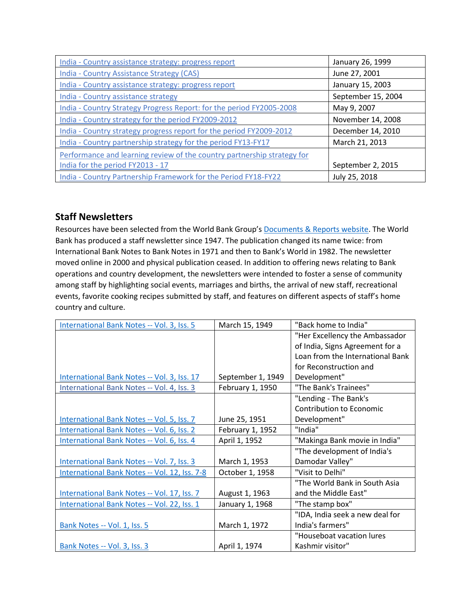| India - Country assistance strategy: progress report                    | January 26, 1999   |
|-------------------------------------------------------------------------|--------------------|
| India - Country Assistance Strategy (CAS)                               | June 27, 2001      |
| India - Country assistance strategy: progress report                    | January 15, 2003   |
| India - Country assistance strategy                                     | September 15, 2004 |
| India - Country Strategy Progress Report: for the period FY2005-2008    | May 9, 2007        |
| India - Country strategy for the period FY2009-2012                     | November 14, 2008  |
| India - Country strategy progress report for the period FY2009-2012     | December 14, 2010  |
| India - Country partnership strategy for the period FY13-FY17           | March 21, 2013     |
| Performance and learning review of the country partnership strategy for |                    |
| India for the period FY2013 - 17                                        | September 2, 2015  |
| India - Country Partnership Framework for the Period FY18-FY22          | July 25, 2018      |

# **Staff Newsletters**

Resources have been selected from the World Bank Group's [Documents & Reports website.](https://documents.worldbank.org/) The World Bank has produced a staff newsletter since 1947. The publication changed its name twice: from International Bank Notes to Bank Notes in 1971 and then to Bank's World in 1982. The newsletter moved online in 2000 and physical publication ceased. In addition to offering news relating to Bank operations and country development, the newsletters were intended to foster a sense of community among staff by highlighting social events, marriages and births, the arrival of new staff, recreational events, favorite cooking recipes submitted by staff, and features on different aspects of staff's home country and culture.

| International Bank Notes -- Vol. 3, Iss. 5    | March 15, 1949    | "Back home to India"             |
|-----------------------------------------------|-------------------|----------------------------------|
|                                               |                   | "Her Excellency the Ambassador   |
|                                               |                   | of India, Signs Agreement for a  |
|                                               |                   | Loan from the International Bank |
|                                               |                   | for Reconstruction and           |
| International Bank Notes -- Vol. 3, Iss. 17   | September 1, 1949 | Development"                     |
| International Bank Notes -- Vol. 4, Iss. 3    | February 1, 1950  | "The Bank's Trainees"            |
|                                               |                   | "Lending - The Bank's            |
|                                               |                   | <b>Contribution to Economic</b>  |
| International Bank Notes -- Vol. 5, Iss. 7    | June 25, 1951     | Development"                     |
| International Bank Notes -- Vol. 6, Iss. 2    | February 1, 1952  | "India"                          |
| International Bank Notes -- Vol. 6, Iss. 4    | April 1, 1952     | "Makinga Bank movie in India"    |
|                                               |                   | "The development of India's      |
| International Bank Notes -- Vol. 7, Iss. 3    | March 1, 1953     | Damodar Valley"                  |
| International Bank Notes -- Vol. 12, Iss. 7-8 | October 1, 1958   | "Visit to Delhi"                 |
|                                               |                   | "The World Bank in South Asia    |
| International Bank Notes -- Vol. 17, Iss. 7   | August 1, 1963    | and the Middle East"             |
| International Bank Notes -- Vol. 22, Iss. 1   | January 1, 1968   | "The stamp box"                  |
|                                               |                   | "IDA, India seek a new deal for  |
| Bank Notes -- Vol. 1, Iss. 5                  | March 1, 1972     | India's farmers"                 |
|                                               |                   | "Houseboat vacation lures        |
| Bank Notes -- Vol. 3, Iss. 3                  | April 1, 1974     | Kashmir visitor"                 |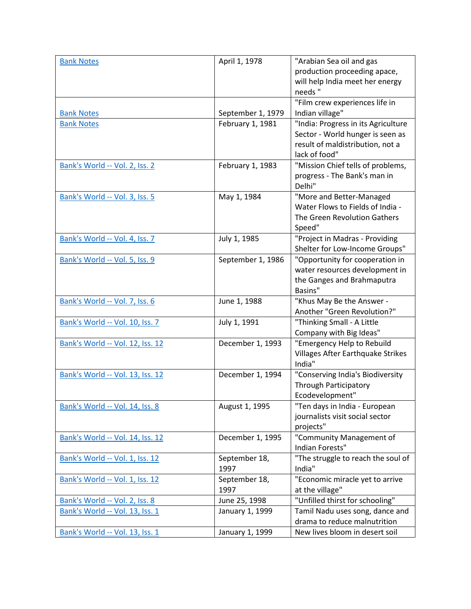| <b>Bank Notes</b>                | April 1, 1978     | "Arabian Sea oil and gas                 |
|----------------------------------|-------------------|------------------------------------------|
|                                  |                   | production proceeding apace,             |
|                                  |                   | will help India meet her energy          |
|                                  |                   | needs"                                   |
|                                  |                   | "Film crew experiences life in           |
| <b>Bank Notes</b>                | September 1, 1979 | Indian village"                          |
| <b>Bank Notes</b>                | February 1, 1981  | "India: Progress in its Agriculture      |
|                                  |                   | Sector - World hunger is seen as         |
|                                  |                   | result of maldistribution, not a         |
|                                  |                   | lack of food"                            |
| Bank's World -- Vol. 2, Iss. 2   | February 1, 1983  | "Mission Chief tells of problems,        |
|                                  |                   | progress - The Bank's man in             |
|                                  |                   | Delhi"                                   |
| Bank's World -- Vol. 3, Iss. 5   | May 1, 1984       | "More and Better-Managed                 |
|                                  |                   | Water Flows to Fields of India -         |
|                                  |                   | The Green Revolution Gathers             |
|                                  |                   | Speed"                                   |
| Bank's World -- Vol. 4, Iss. 7   | July 1, 1985      | "Project in Madras - Providing           |
|                                  |                   | Shelter for Low-Income Groups"           |
| Bank's World -- Vol. 5, Iss. 9   | September 1, 1986 | "Opportunity for cooperation in          |
|                                  |                   | water resources development in           |
|                                  |                   | the Ganges and Brahmaputra               |
|                                  |                   | Basins"                                  |
| Bank's World -- Vol. 7, Iss. 6   | June 1, 1988      | "Khus May Be the Answer -                |
|                                  |                   | Another "Green Revolution?"              |
| Bank's World -- Vol. 10, Iss. 7  | July 1, 1991      | "Thinking Small - A Little               |
|                                  |                   | Company with Big Ideas"                  |
| Bank's World -- Vol. 12, Iss. 12 | December 1, 1993  | "Emergency Help to Rebuild               |
|                                  |                   | <b>Villages After Earthquake Strikes</b> |
|                                  |                   | India"                                   |
| Bank's World -- Vol. 13, Iss. 12 | December 1, 1994  | "Conserving India's Biodiversity         |
|                                  |                   | <b>Through Participatory</b>             |
|                                  |                   | Ecodevelopment"                          |
| Bank's World -- Vol. 14, Iss. 8  | August 1, 1995    | "Ten days in India - European            |
|                                  |                   | journalists visit social sector          |
|                                  |                   | projects"                                |
| Bank's World -- Vol. 14, Iss. 12 | December 1, 1995  | "Community Management of                 |
|                                  |                   | Indian Forests"                          |
| Bank's World -- Vol. 1, Iss. 12  | September 18,     | "The struggle to reach the soul of       |
|                                  | 1997              | India"                                   |
| Bank's World -- Vol. 1, Iss. 12  | September 18,     | "Economic miracle yet to arrive          |
|                                  | 1997              | at the village"                          |
| Bank's World -- Vol. 2, Iss. 8   | June 25, 1998     | "Unfilled thirst for schooling"          |
| Bank's World -- Vol. 13, Iss. 1  | January 1, 1999   | Tamil Nadu uses song, dance and          |
|                                  |                   | drama to reduce malnutrition             |
| Bank's World -- Vol. 13, Iss. 1  | January 1, 1999   | New lives bloom in desert soil           |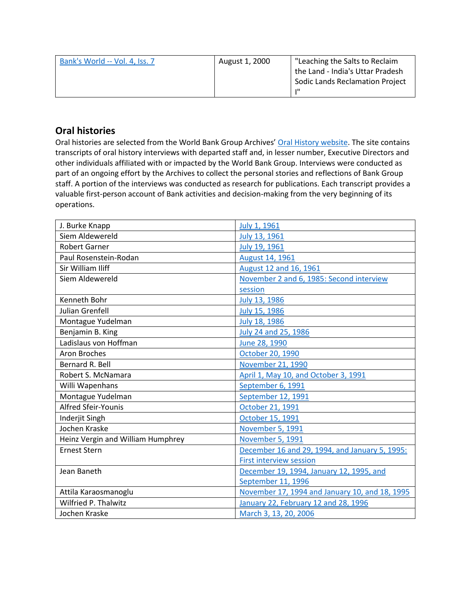| Bank's World -- Vol. 4, Iss. 7 | August 1, 2000 | "Leaching the Salts to Reclaim         |
|--------------------------------|----------------|----------------------------------------|
|                                |                | the Land - India's Uttar Pradesh       |
|                                |                | <b>Sodic Lands Reclamation Project</b> |
|                                |                | ш                                      |

# **Oral histories**

Oral histories are selected from the World Bank Group Archives' [Oral History website.](https://oralhistory.worldbank.org/) The site contains transcripts of oral history interviews with departed staff and, in lesser number, Executive Directors and other individuals affiliated with or impacted by the World Bank Group. Interviews were conducted as part of an ongoing effort by the Archives to collect the personal stories and reflections of Bank Group staff. A portion of the interviews was conducted as research for publications. Each transcript provides a valuable first-person account of Bank activities and decision-making from the very beginning of its operations.

| J. Burke Knapp                    | July 1, 1961                                   |
|-----------------------------------|------------------------------------------------|
| Siem Aldewereld                   | July 13, 1961                                  |
| <b>Robert Garner</b>              | July 19, 1961                                  |
| Paul Rosenstein-Rodan             | <b>August 14, 1961</b>                         |
| Sir William Iliff                 | August 12 and 16, 1961                         |
| Siem Aldewereld                   | November 2 and 6, 1985: Second interview       |
|                                   | session                                        |
| Kenneth Bohr                      | July 13, 1986                                  |
| <b>Julian Grenfell</b>            | July 15, 1986                                  |
| Montague Yudelman                 | July 18, 1986                                  |
| Benjamin B. King                  | July 24 and 25, 1986                           |
| Ladislaus von Hoffman             | June 28, 1990                                  |
| Aron Broches                      | October 20, 1990                               |
| Bernard R. Bell                   | November 21, 1990                              |
| Robert S. McNamara                | April 1, May 10, and October 3, 1991           |
| Willi Wapenhans                   | September 6, 1991                              |
| Montague Yudelman                 | September 12, 1991                             |
| <b>Alfred Sfeir-Younis</b>        | October 21, 1991                               |
| Inderjit Singh                    | October 15, 1991                               |
| Jochen Kraske                     | November 5, 1991                               |
| Heinz Vergin and William Humphrey | November 5, 1991                               |
| <b>Ernest Stern</b>               | December 16 and 29, 1994, and January 5, 1995: |
|                                   | <b>First interview session</b>                 |
| Jean Baneth                       | December 19, 1994, January 12, 1995, and       |
|                                   | September 11, 1996                             |
| Attila Karaosmanoglu              | November 17, 1994 and January 10, and 18, 1995 |
| <b>Wilfried P. Thalwitz</b>       | January 22, February 12 and 28, 1996           |
| Jochen Kraske                     | March 3, 13, 20, 2006                          |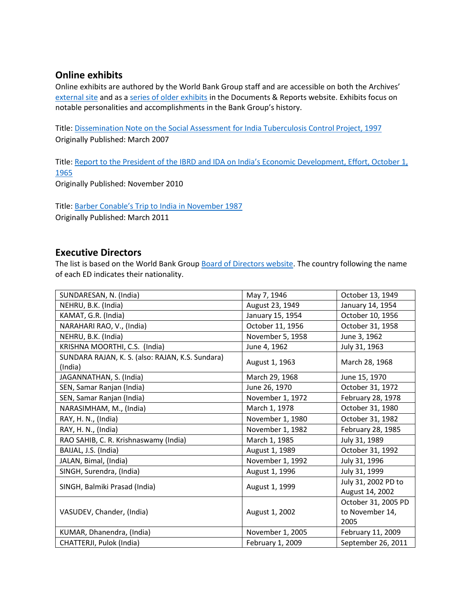## **Online exhibits**

Online exhibits are authored by the World Bank Group staff and are accessible on both the Archives' [external site](https://www.worldbank.org/en/about/archives/history/exhibits) and as a [series of older exhibits](https://documents.worldbank.org/en/publication/documents-reports/documentlist?colti=World%20Bank%20Group%20Archives%20exhibit%20series) in the Documents & Reports website. Exhibits focus on notable personalities and accomplishments in the Bank Group's history.

Title: [Dissemination Note on the Social Assessment](https://documents.worldbank.org/en/publication/documents-reports/documentdetail/682331467990975556/dissemination-note-on-the-social-assessment-for-india-tuberculosis-control-project-1997) for India Tuberculosis Control Project, 1997 Originally Published: March 2007

Title: Report to the President of the IBRD and IDA o[n India's Economic Development, Effort, October 1,](https://documents.worldbank.org/en/publication/documents-reports/documentdetail/282011468000299920/report-to-the-president-of-the-ibrd-and-ida-on-india-s-economic-development-effort-october-1-1965)  [1965](https://documents.worldbank.org/en/publication/documents-reports/documentdetail/282011468000299920/report-to-the-president-of-the-ibrd-and-ida-on-india-s-economic-development-effort-october-1-1965)

Originally Published: November 2010

Title: Bar[ber Conable's Trip to India in November 1987](https://documents.worldbank.org/en/publication/documents-reports/documentdetail/626891467999690749/barber-conable-s-trip-to-india-in-november-1987)

Originally Published: March 2011

## **Executive Directors**

The list is based on the World Bank Group [Board of Directors website.](https://worldbankgroup.sharepoint.com/sites/wbsites/ExecutiveBoard/Pages/pc/About-the-Boards-05222019-155532/List-of-Executi-05222019-155839.aspx) The country following the name of each ED indicates their nationality.

| SUNDARESAN, N. (India)                                      | May 7, 1946      | October 13, 1949                               |
|-------------------------------------------------------------|------------------|------------------------------------------------|
| NEHRU, B.K. (India)                                         | August 23, 1949  | January 14, 1954                               |
| KAMAT, G.R. (India)                                         | January 15, 1954 | October 10, 1956                               |
| NARAHARI RAO, V., (India)                                   | October 11, 1956 | October 31, 1958                               |
| NEHRU, B.K. (India)                                         | November 5, 1958 | June 3, 1962                                   |
| KRISHNA MOORTHI, C.S. (India)                               | June 4, 1962     | July 31, 1963                                  |
| SUNDARA RAJAN, K. S. (also: RAJAN, K.S. Sundara)<br>(India) | August 1, 1963   | March 28, 1968                                 |
| JAGANNATHAN, S. (India)                                     | March 29, 1968   | June 15, 1970                                  |
| SEN, Samar Ranjan (India)                                   | June 26, 1970    | October 31, 1972                               |
| SEN, Samar Ranjan (India)                                   | November 1, 1972 | February 28, 1978                              |
| NARASIMHAM, M., (India)                                     | March 1, 1978    | October 31, 1980                               |
| RAY, H. N., (India)                                         | November 1, 1980 | October 31, 1982                               |
| RAY, H. N., (India)                                         | November 1, 1982 | February 28, 1985                              |
| RAO SAHIB, C. R. Krishnaswamy (India)                       | March 1, 1985    | July 31, 1989                                  |
| BAIJAL, J.S. (India)                                        | August 1, 1989   | October 31, 1992                               |
| JALAN, Bimal, (India)                                       | November 1, 1992 | July 31, 1996                                  |
| SINGH, Surendra, (India)                                    | August 1, 1996   | July 31, 1999                                  |
| SINGH, Balmiki Prasad (India)                               | August 1, 1999   | July 31, 2002 PD to<br>August 14, 2002         |
| VASUDEV, Chander, (India)                                   | August 1, 2002   | October 31, 2005 PD<br>to November 14,<br>2005 |
| KUMAR, Dhanendra, (India)                                   | November 1, 2005 | February 11, 2009                              |
| CHATTERJI, Pulok (India)                                    | February 1, 2009 | September 26, 2011                             |